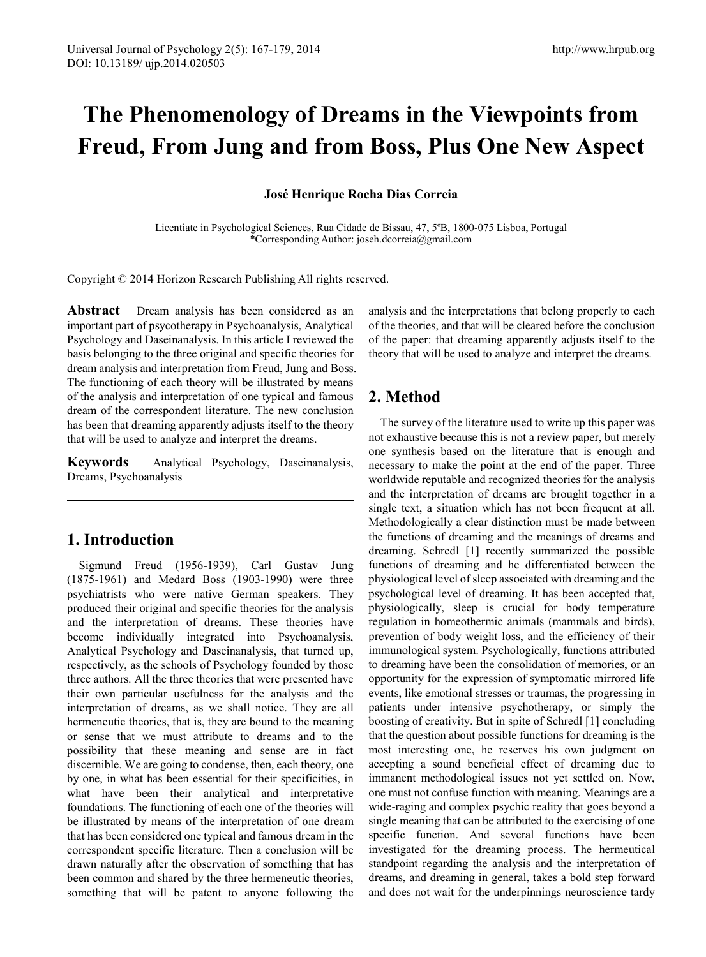# **The Phenomenology of Dreams in the Viewpoints from Freud, From Jung and from Boss, Plus One New Aspect**

#### **José Henrique Rocha Dias Correia**

Licentiate in Psychological Sciences, Rua Cidade de Bissau, 47, 5ºB, 1800-075 Lisboa, Portugal \*Corresponding Author: joseh.dcorreia@gmail.com

Copyright © 2014 Horizon Research Publishing All rights reserved.

**Abstract** Dream analysis has been considered as an important part of psycotherapy in Psychoanalysis, Analytical Psychology and Daseinanalysis. In this article I reviewed the basis belonging to the three original and specific theories for dream analysis and interpretation from Freud, Jung and Boss. The functioning of each theory will be illustrated by means of the analysis and interpretation of one typical and famous dream of the correspondent literature. The new conclusion has been that dreaming apparently adjusts itself to the theory that will be used to analyze and interpret the dreams.

**Keywords** Analytical Psychology, Daseinanalysis, Dreams, Psychoanalysis

## **1. Introduction**

Sigmund Freud (1956-1939), Carl Gustav Jung (1875-1961) and Medard Boss (1903-1990) were three psychiatrists who were native German speakers. They produced their original and specific theories for the analysis and the interpretation of dreams. These theories have become individually integrated into Psychoanalysis, Analytical Psychology and Daseinanalysis, that turned up, respectively, as the schools of Psychology founded by those three authors. All the three theories that were presented have their own particular usefulness for the analysis and the interpretation of dreams, as we shall notice. They are all hermeneutic theories, that is, they are bound to the meaning or sense that we must attribute to dreams and to the possibility that these meaning and sense are in fact discernible. We are going to condense, then, each theory, one by one, in what has been essential for their specificities, in what have been their analytical and interpretative foundations. The functioning of each one of the theories will be illustrated by means of the interpretation of one dream that has been considered one typical and famous dream in the correspondent specific literature. Then a conclusion will be drawn naturally after the observation of something that has been common and shared by the three hermeneutic theories, something that will be patent to anyone following the analysis and the interpretations that belong properly to each of the theories, and that will be cleared before the conclusion of the paper: that dreaming apparently adjusts itself to the theory that will be used to analyze and interpret the dreams.

# **2. Method**

The survey of the literature used to write up this paper was not exhaustive because this is not a review paper, but merely one synthesis based on the literature that is enough and necessary to make the point at the end of the paper. Three worldwide reputable and recognized theories for the analysis and the interpretation of dreams are brought together in a single text, a situation which has not been frequent at all. Methodologically a clear distinction must be made between the functions of dreaming and the meanings of dreams and dreaming. Schredl [1] recently summarized the possible functions of dreaming and he differentiated between the physiological level of sleep associated with dreaming and the psychological level of dreaming. It has been accepted that, physiologically, sleep is crucial for body temperature regulation in homeothermic animals (mammals and birds), prevention of body weight loss, and the efficiency of their immunological system. Psychologically, functions attributed to dreaming have been the consolidation of memories, or an opportunity for the expression of symptomatic mirrored life events, like emotional stresses or traumas, the progressing in patients under intensive psychotherapy, or simply the boosting of creativity. But in spite of Schredl [1] concluding that the question about possible functions for dreaming is the most interesting one, he reserves his own judgment on accepting a sound beneficial effect of dreaming due to immanent methodological issues not yet settled on. Now, one must not confuse function with meaning. Meanings are a wide-raging and complex psychic reality that goes beyond a single meaning that can be attributed to the exercising of one specific function. And several functions have been investigated for the dreaming process. The hermeutical standpoint regarding the analysis and the interpretation of dreams, and dreaming in general, takes a bold step forward and does not wait for the underpinnings neuroscience tardy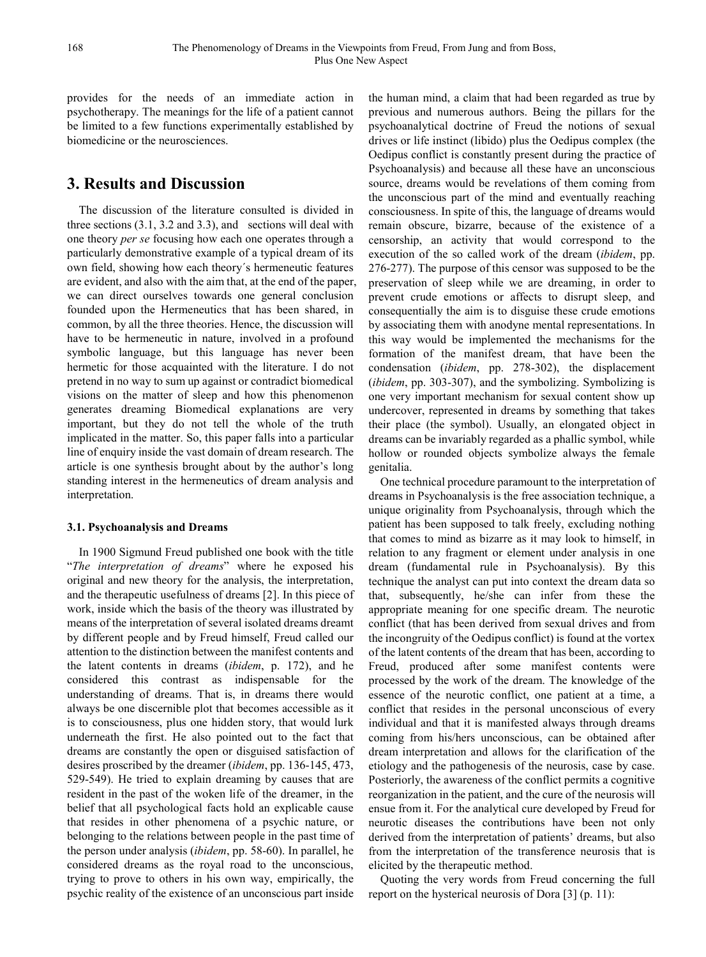provides for the needs of an immediate action in psychotherapy. The meanings for the life of a patient cannot be limited to a few functions experimentally established by biomedicine or the neurosciences.

## **3. Results and Discussion**

The discussion of the literature consulted is divided in three sections (3.1, 3.2 and 3.3), and sections will deal with one theory *per se* focusing how each one operates through a particularly demonstrative example of a typical dream of its own field, showing how each theory´s hermeneutic features are evident, and also with the aim that, at the end of the paper, we can direct ourselves towards one general conclusion founded upon the Hermeneutics that has been shared, in common, by all the three theories. Hence, the discussion will have to be hermeneutic in nature, involved in a profound symbolic language, but this language has never been hermetic for those acquainted with the literature. I do not pretend in no way to sum up against or contradict biomedical visions on the matter of sleep and how this phenomenon generates dreaming Biomedical explanations are very important, but they do not tell the whole of the truth implicated in the matter. So, this paper falls into a particular line of enquiry inside the vast domain of dream research. The article is one synthesis brought about by the author's long standing interest in the hermeneutics of dream analysis and interpretation.

#### **3.1. Psychoanalysis and Dreams**

In 1900 Sigmund Freud published one book with the title "*The interpretation of dreams*" where he exposed his original and new theory for the analysis, the interpretation, and the therapeutic usefulness of dreams [2]. In this piece of work, inside which the basis of the theory was illustrated by means of the interpretation of several isolated dreams dreamt by different people and by Freud himself, Freud called our attention to the distinction between the manifest contents and the latent contents in dreams (*ibidem*, p. 172), and he considered this contrast as indispensable for the understanding of dreams. That is, in dreams there would always be one discernible plot that becomes accessible as it is to consciousness, plus one hidden story, that would lurk underneath the first. He also pointed out to the fact that dreams are constantly the open or disguised satisfaction of desires proscribed by the dreamer (*ibidem*, pp. 136-145, 473, 529-549). He tried to explain dreaming by causes that are resident in the past of the woken life of the dreamer, in the belief that all psychological facts hold an explicable cause that resides in other phenomena of a psychic nature, or belonging to the relations between people in the past time of the person under analysis (*ibidem*, pp. 58-60). In parallel, he considered dreams as the royal road to the unconscious, trying to prove to others in his own way, empirically, the psychic reality of the existence of an unconscious part inside

the human mind, a claim that had been regarded as true by previous and numerous authors. Being the pillars for the psychoanalytical doctrine of Freud the notions of sexual drives or life instinct (libido) plus the Oedipus complex (the Oedipus conflict is constantly present during the practice of Psychoanalysis) and because all these have an unconscious source, dreams would be revelations of them coming from the unconscious part of the mind and eventually reaching consciousness. In spite of this, the language of dreams would remain obscure, bizarre, because of the existence of a censorship, an activity that would correspond to the execution of the so called work of the dream (*ibidem*, pp. 276-277). The purpose of this censor was supposed to be the preservation of sleep while we are dreaming, in order to prevent crude emotions or affects to disrupt sleep, and consequentially the aim is to disguise these crude emotions by associating them with anodyne mental representations. In this way would be implemented the mechanisms for the formation of the manifest dream, that have been the condensation (*ibidem*, pp. 278-302), the displacement (*ibidem*, pp. 303-307), and the symbolizing. Symbolizing is one very important mechanism for sexual content show up undercover, represented in dreams by something that takes their place (the symbol). Usually, an elongated object in dreams can be invariably regarded as a phallic symbol, while hollow or rounded objects symbolize always the female genitalia.

One technical procedure paramount to the interpretation of dreams in Psychoanalysis is the free association technique, a unique originality from Psychoanalysis, through which the patient has been supposed to talk freely, excluding nothing that comes to mind as bizarre as it may look to himself, in relation to any fragment or element under analysis in one dream (fundamental rule in Psychoanalysis). By this technique the analyst can put into context the dream data so that, subsequently, he/she can infer from these the appropriate meaning for one specific dream. The neurotic conflict (that has been derived from sexual drives and from the incongruity of the Oedipus conflict) is found at the vortex of the latent contents of the dream that has been, according to Freud, produced after some manifest contents were processed by the work of the dream. The knowledge of the essence of the neurotic conflict, one patient at a time, a conflict that resides in the personal unconscious of every individual and that it is manifested always through dreams coming from his/hers unconscious, can be obtained after dream interpretation and allows for the clarification of the etiology and the pathogenesis of the neurosis, case by case. Posteriorly, the awareness of the conflict permits a cognitive reorganization in the patient, and the cure of the neurosis will ensue from it. For the analytical cure developed by Freud for neurotic diseases the contributions have been not only derived from the interpretation of patients' dreams, but also from the interpretation of the transference neurosis that is elicited by the therapeutic method.

Quoting the very words from Freud concerning the full report on the hysterical neurosis of Dora [3] (p. 11):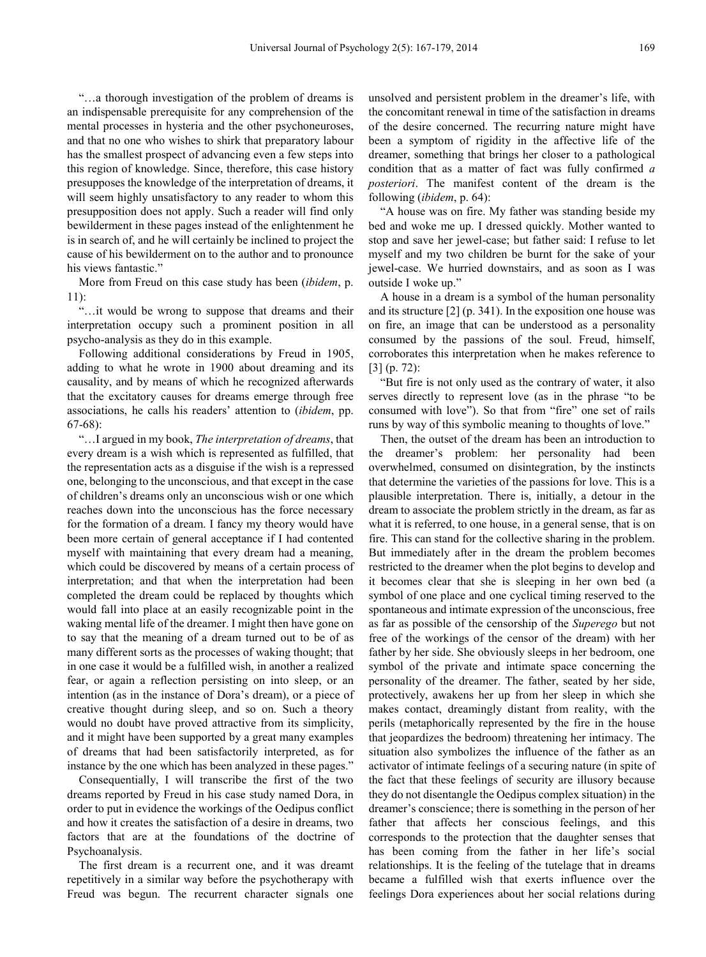"…a thorough investigation of the problem of dreams is an indispensable prerequisite for any comprehension of the mental processes in hysteria and the other psychoneuroses, and that no one who wishes to shirk that preparatory labour has the smallest prospect of advancing even a few steps into this region of knowledge. Since, therefore, this case history presupposes the knowledge of the interpretation of dreams, it will seem highly unsatisfactory to any reader to whom this presupposition does not apply. Such a reader will find only bewilderment in these pages instead of the enlightenment he is in search of, and he will certainly be inclined to project the cause of his bewilderment on to the author and to pronounce his views fantastic."

More from Freud on this case study has been (*ibidem*, p. 11):

"…it would be wrong to suppose that dreams and their interpretation occupy such a prominent position in all psycho-analysis as they do in this example.

Following additional considerations by Freud in 1905, adding to what he wrote in 1900 about dreaming and its causality, and by means of which he recognized afterwards that the excitatory causes for dreams emerge through free associations, he calls his readers' attention to (*ibidem*, pp. 67-68):

"…I argued in my book, *The interpretation of dreams*, that every dream is a wish which is represented as fulfilled, that the representation acts as a disguise if the wish is a repressed one, belonging to the unconscious, and that except in the case of children's dreams only an unconscious wish or one which reaches down into the unconscious has the force necessary for the formation of a dream. I fancy my theory would have been more certain of general acceptance if I had contented myself with maintaining that every dream had a meaning, which could be discovered by means of a certain process of interpretation; and that when the interpretation had been completed the dream could be replaced by thoughts which would fall into place at an easily recognizable point in the waking mental life of the dreamer. I might then have gone on to say that the meaning of a dream turned out to be of as many different sorts as the processes of waking thought; that in one case it would be a fulfilled wish, in another a realized fear, or again a reflection persisting on into sleep, or an intention (as in the instance of Dora's dream), or a piece of creative thought during sleep, and so on. Such a theory would no doubt have proved attractive from its simplicity, and it might have been supported by a great many examples of dreams that had been satisfactorily interpreted, as for instance by the one which has been analyzed in these pages."

Consequentially, I will transcribe the first of the two dreams reported by Freud in his case study named Dora, in order to put in evidence the workings of the Oedipus conflict and how it creates the satisfaction of a desire in dreams, two factors that are at the foundations of the doctrine of Psychoanalysis.

The first dream is a recurrent one, and it was dreamt repetitively in a similar way before the psychotherapy with Freud was begun. The recurrent character signals one

unsolved and persistent problem in the dreamer's life, with the concomitant renewal in time of the satisfaction in dreams of the desire concerned. The recurring nature might have been a symptom of rigidity in the affective life of the dreamer, something that brings her closer to a pathological condition that as a matter of fact was fully confirmed *a posteriori*. The manifest content of the dream is the following (*ibidem*, p. 64):

"A house was on fire. My father was standing beside my bed and woke me up. I dressed quickly. Mother wanted to stop and save her jewel-case; but father said: I refuse to let myself and my two children be burnt for the sake of your jewel-case. We hurried downstairs, and as soon as I was outside I woke up."

A house in a dream is a symbol of the human personality and its structure [2] (p. 341). In the exposition one house was on fire, an image that can be understood as a personality consumed by the passions of the soul. Freud, himself, corroborates this interpretation when he makes reference to [3] (p. 72):

"But fire is not only used as the contrary of water, it also serves directly to represent love (as in the phrase "to be consumed with love"). So that from "fire" one set of rails runs by way of this symbolic meaning to thoughts of love."

Then, the outset of the dream has been an introduction to the dreamer's problem: her personality had been overwhelmed, consumed on disintegration, by the instincts that determine the varieties of the passions for love. This is a plausible interpretation. There is, initially, a detour in the dream to associate the problem strictly in the dream, as far as what it is referred, to one house, in a general sense, that is on fire. This can stand for the collective sharing in the problem. But immediately after in the dream the problem becomes restricted to the dreamer when the plot begins to develop and it becomes clear that she is sleeping in her own bed (a symbol of one place and one cyclical timing reserved to the spontaneous and intimate expression of the unconscious, free as far as possible of the censorship of the *Superego* but not free of the workings of the censor of the dream) with her father by her side. She obviously sleeps in her bedroom, one symbol of the private and intimate space concerning the personality of the dreamer. The father, seated by her side, protectively, awakens her up from her sleep in which she makes contact, dreamingly distant from reality, with the perils (metaphorically represented by the fire in the house that jeopardizes the bedroom) threatening her intimacy. The situation also symbolizes the influence of the father as an activator of intimate feelings of a securing nature (in spite of the fact that these feelings of security are illusory because they do not disentangle the Oedipus complex situation) in the dreamer's conscience; there is something in the person of her father that affects her conscious feelings, and this corresponds to the protection that the daughter senses that has been coming from the father in her life's social relationships. It is the feeling of the tutelage that in dreams became a fulfilled wish that exerts influence over the feelings Dora experiences about her social relations during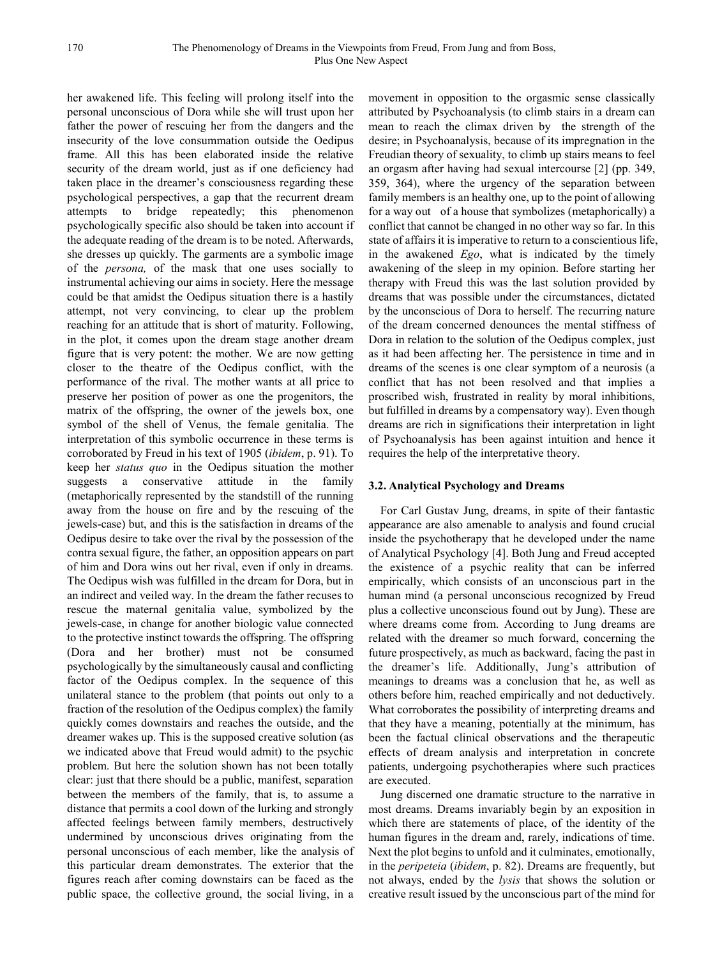her awakened life. This feeling will prolong itself into the personal unconscious of Dora while she will trust upon her father the power of rescuing her from the dangers and the insecurity of the love consummation outside the Oedipus frame. All this has been elaborated inside the relative security of the dream world, just as if one deficiency had taken place in the dreamer's consciousness regarding these psychological perspectives, a gap that the recurrent dream attempts to bridge repeatedly; this phenomenon psychologically specific also should be taken into account if the adequate reading of the dream is to be noted. Afterwards, she dresses up quickly. The garments are a symbolic image of the *persona,* of the mask that one uses socially to instrumental achieving our aims in society. Here the message could be that amidst the Oedipus situation there is a hastily attempt, not very convincing, to clear up the problem reaching for an attitude that is short of maturity. Following, in the plot, it comes upon the dream stage another dream figure that is very potent: the mother. We are now getting closer to the theatre of the Oedipus conflict, with the performance of the rival. The mother wants at all price to preserve her position of power as one the progenitors, the matrix of the offspring, the owner of the jewels box, one symbol of the shell of Venus, the female genitalia. The interpretation of this symbolic occurrence in these terms is corroborated by Freud in his text of 1905 (*ibidem*, p. 91). To keep her *status quo* in the Oedipus situation the mother suggests a conservative attitude in the family (metaphorically represented by the standstill of the running away from the house on fire and by the rescuing of the jewels-case) but, and this is the satisfaction in dreams of the Oedipus desire to take over the rival by the possession of the contra sexual figure, the father, an opposition appears on part of him and Dora wins out her rival, even if only in dreams. The Oedipus wish was fulfilled in the dream for Dora, but in an indirect and veiled way. In the dream the father recuses to rescue the maternal genitalia value, symbolized by the jewels-case, in change for another biologic value connected to the protective instinct towards the offspring. The offspring (Dora and her brother) must not be consumed psychologically by the simultaneously causal and conflicting factor of the Oedipus complex. In the sequence of this unilateral stance to the problem (that points out only to a fraction of the resolution of the Oedipus complex) the family quickly comes downstairs and reaches the outside, and the dreamer wakes up. This is the supposed creative solution (as we indicated above that Freud would admit) to the psychic problem. But here the solution shown has not been totally clear: just that there should be a public, manifest, separation between the members of the family, that is, to assume a distance that permits a cool down of the lurking and strongly affected feelings between family members, destructively undermined by unconscious drives originating from the personal unconscious of each member, like the analysis of this particular dream demonstrates. The exterior that the figures reach after coming downstairs can be faced as the public space, the collective ground, the social living, in a

movement in opposition to the orgasmic sense classically attributed by Psychoanalysis (to climb stairs in a dream can mean to reach the climax driven by the strength of the desire; in Psychoanalysis, because of its impregnation in the Freudian theory of sexuality, to climb up stairs means to feel an orgasm after having had sexual intercourse [2] (pp. 349, 359, 364), where the urgency of the separation between family members is an healthy one, up to the point of allowing for a way out of a house that symbolizes (metaphorically) a conflict that cannot be changed in no other way so far. In this state of affairs it is imperative to return to a conscientious life, in the awakened *Ego*, what is indicated by the timely awakening of the sleep in my opinion. Before starting her therapy with Freud this was the last solution provided by dreams that was possible under the circumstances, dictated by the unconscious of Dora to herself. The recurring nature of the dream concerned denounces the mental stiffness of Dora in relation to the solution of the Oedipus complex, just as it had been affecting her. The persistence in time and in dreams of the scenes is one clear symptom of a neurosis (a conflict that has not been resolved and that implies a proscribed wish, frustrated in reality by moral inhibitions, but fulfilled in dreams by a compensatory way). Even though dreams are rich in significations their interpretation in light of Psychoanalysis has been against intuition and hence it requires the help of the interpretative theory.

#### **3.2. Analytical Psychology and Dreams**

For Carl Gustav Jung, dreams, in spite of their fantastic appearance are also amenable to analysis and found crucial inside the psychotherapy that he developed under the name of Analytical Psychology [4]. Both Jung and Freud accepted the existence of a psychic reality that can be inferred empirically, which consists of an unconscious part in the human mind (a personal unconscious recognized by Freud plus a collective unconscious found out by Jung). These are where dreams come from. According to Jung dreams are related with the dreamer so much forward, concerning the future prospectively, as much as backward, facing the past in the dreamer's life. Additionally, Jung's attribution of meanings to dreams was a conclusion that he, as well as others before him, reached empirically and not deductively. What corroborates the possibility of interpreting dreams and that they have a meaning, potentially at the minimum, has been the factual clinical observations and the therapeutic effects of dream analysis and interpretation in concrete patients, undergoing psychotherapies where such practices are executed.

Jung discerned one dramatic structure to the narrative in most dreams. Dreams invariably begin by an exposition in which there are statements of place, of the identity of the human figures in the dream and, rarely, indications of time. Next the plot begins to unfold and it culminates, emotionally, in the *peripeteia* (*ibidem*, p. 82). Dreams are frequently, but not always, ended by the *lysis* that shows the solution or creative result issued by the unconscious part of the mind for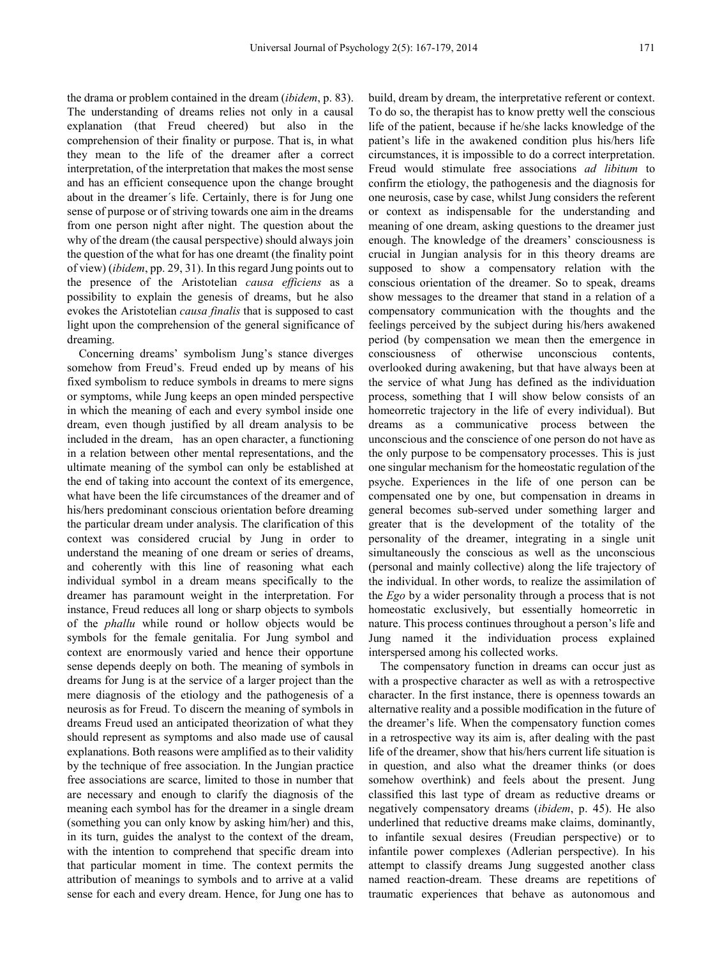the drama or problem contained in the dream (*ibidem*, p. 83). The understanding of dreams relies not only in a causal explanation (that Freud cheered) but also in the comprehension of their finality or purpose. That is, in what they mean to the life of the dreamer after a correct interpretation, of the interpretation that makes the most sense and has an efficient consequence upon the change brought about in the dreamer´s life. Certainly, there is for Jung one sense of purpose or of striving towards one aim in the dreams from one person night after night. The question about the why of the dream (the causal perspective) should always join the question of the what for has one dreamt (the finality point of view) (*ibidem*, pp. 29, 31). In this regard Jung points out to the presence of the Aristotelian *causa efficiens* as a possibility to explain the genesis of dreams, but he also evokes the Aristotelian *causa finalis* that is supposed to cast light upon the comprehension of the general significance of dreaming.

Concerning dreams' symbolism Jung's stance diverges somehow from Freud's. Freud ended up by means of his fixed symbolism to reduce symbols in dreams to mere signs or symptoms, while Jung keeps an open minded perspective in which the meaning of each and every symbol inside one dream, even though justified by all dream analysis to be included in the dream, has an open character, a functioning in a relation between other mental representations, and the ultimate meaning of the symbol can only be established at the end of taking into account the context of its emergence, what have been the life circumstances of the dreamer and of his/hers predominant conscious orientation before dreaming the particular dream under analysis. The clarification of this context was considered crucial by Jung in order to understand the meaning of one dream or series of dreams, and coherently with this line of reasoning what each individual symbol in a dream means specifically to the dreamer has paramount weight in the interpretation. For instance, Freud reduces all long or sharp objects to symbols of the *phallu* while round or hollow objects would be symbols for the female genitalia. For Jung symbol and context are enormously varied and hence their opportune sense depends deeply on both. The meaning of symbols in dreams for Jung is at the service of a larger project than the mere diagnosis of the etiology and the pathogenesis of a neurosis as for Freud. To discern the meaning of symbols in dreams Freud used an anticipated theorization of what they should represent as symptoms and also made use of causal explanations. Both reasons were amplified as to their validity by the technique of free association. In the Jungian practice free associations are scarce, limited to those in number that are necessary and enough to clarify the diagnosis of the meaning each symbol has for the dreamer in a single dream (something you can only know by asking him/her) and this, in its turn, guides the analyst to the context of the dream, with the intention to comprehend that specific dream into that particular moment in time. The context permits the attribution of meanings to symbols and to arrive at a valid sense for each and every dream. Hence, for Jung one has to

build, dream by dream, the interpretative referent or context. To do so, the therapist has to know pretty well the conscious life of the patient, because if he/she lacks knowledge of the patient's life in the awakened condition plus his/hers life circumstances, it is impossible to do a correct interpretation. Freud would stimulate free associations *ad libitum* to confirm the etiology, the pathogenesis and the diagnosis for one neurosis, case by case, whilst Jung considers the referent or context as indispensable for the understanding and meaning of one dream, asking questions to the dreamer just enough. The knowledge of the dreamers' consciousness is crucial in Jungian analysis for in this theory dreams are supposed to show a compensatory relation with the conscious orientation of the dreamer. So to speak, dreams show messages to the dreamer that stand in a relation of a compensatory communication with the thoughts and the feelings perceived by the subject during his/hers awakened period (by compensation we mean then the emergence in consciousness of otherwise unconscious contents, overlooked during awakening, but that have always been at the service of what Jung has defined as the individuation process, something that I will show below consists of an homeorretic trajectory in the life of every individual). But dreams as a communicative process between the unconscious and the conscience of one person do not have as the only purpose to be compensatory processes. This is just one singular mechanism for the homeostatic regulation of the psyche. Experiences in the life of one person can be compensated one by one, but compensation in dreams in general becomes sub-served under something larger and greater that is the development of the totality of the personality of the dreamer, integrating in a single unit simultaneously the conscious as well as the unconscious (personal and mainly collective) along the life trajectory of the individual. In other words, to realize the assimilation of the *Ego* by a wider personality through a process that is not homeostatic exclusively, but essentially homeorretic in nature. This process continues throughout a person's life and Jung named it the individuation process explained interspersed among his collected works.

The compensatory function in dreams can occur just as with a prospective character as well as with a retrospective character. In the first instance, there is openness towards an alternative reality and a possible modification in the future of the dreamer's life. When the compensatory function comes in a retrospective way its aim is, after dealing with the past life of the dreamer, show that his/hers current life situation is in question, and also what the dreamer thinks (or does somehow overthink) and feels about the present. Jung classified this last type of dream as reductive dreams or negatively compensatory dreams (*ibidem*, p. 45). He also underlined that reductive dreams make claims, dominantly, to infantile sexual desires (Freudian perspective) or to infantile power complexes (Adlerian perspective). In his attempt to classify dreams Jung suggested another class named reaction-dream. These dreams are repetitions of traumatic experiences that behave as autonomous and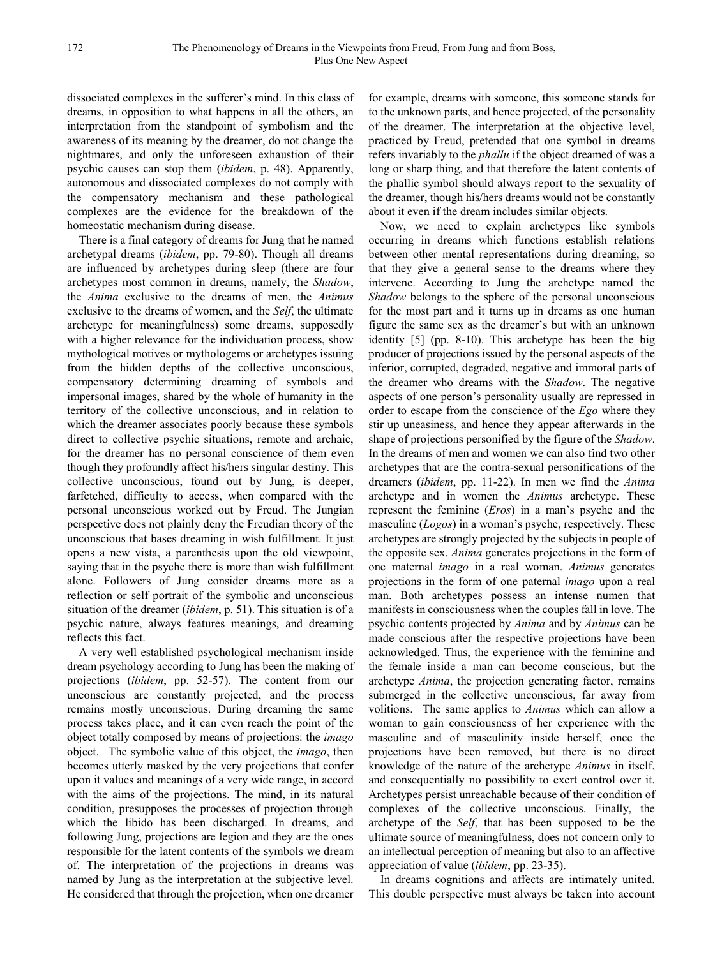dissociated complexes in the sufferer's mind. In this class of dreams, in opposition to what happens in all the others, an interpretation from the standpoint of symbolism and the awareness of its meaning by the dreamer, do not change the nightmares, and only the unforeseen exhaustion of their psychic causes can stop them (*ibidem*, p. 48). Apparently, autonomous and dissociated complexes do not comply with the compensatory mechanism and these pathological complexes are the evidence for the breakdown of the homeostatic mechanism during disease.

There is a final category of dreams for Jung that he named archetypal dreams (*ibidem*, pp. 79-80). Though all dreams are influenced by archetypes during sleep (there are four archetypes most common in dreams, namely, the *Shadow*, the *Anima* exclusive to the dreams of men, the *Animus* exclusive to the dreams of women, and the *Self*, the ultimate archetype for meaningfulness) some dreams, supposedly with a higher relevance for the individuation process, show mythological motives or mythologems or archetypes issuing from the hidden depths of the collective unconscious, compensatory determining dreaming of symbols and impersonal images, shared by the whole of humanity in the territory of the collective unconscious, and in relation to which the dreamer associates poorly because these symbols direct to collective psychic situations, remote and archaic, for the dreamer has no personal conscience of them even though they profoundly affect his/hers singular destiny. This collective unconscious, found out by Jung, is deeper, farfetched, difficulty to access, when compared with the personal unconscious worked out by Freud. The Jungian perspective does not plainly deny the Freudian theory of the unconscious that bases dreaming in wish fulfillment. It just opens a new vista, a parenthesis upon the old viewpoint, saying that in the psyche there is more than wish fulfillment alone. Followers of Jung consider dreams more as a reflection or self portrait of the symbolic and unconscious situation of the dreamer (*ibidem*, p. 51). This situation is of a psychic nature, always features meanings, and dreaming reflects this fact.

A very well established psychological mechanism inside dream psychology according to Jung has been the making of projections (*ibidem*, pp. 52-57). The content from our unconscious are constantly projected, and the process remains mostly unconscious. During dreaming the same process takes place, and it can even reach the point of the object totally composed by means of projections: the *imago* object. The symbolic value of this object, the *imago*, then becomes utterly masked by the very projections that confer upon it values and meanings of a very wide range, in accord with the aims of the projections. The mind, in its natural condition, presupposes the processes of projection through which the libido has been discharged. In dreams, and following Jung, projections are legion and they are the ones responsible for the latent contents of the symbols we dream of. The interpretation of the projections in dreams was named by Jung as the interpretation at the subjective level. He considered that through the projection, when one dreamer

for example, dreams with someone, this someone stands for to the unknown parts, and hence projected, of the personality of the dreamer. The interpretation at the objective level, practiced by Freud, pretended that one symbol in dreams refers invariably to the *phallu* if the object dreamed of was a long or sharp thing, and that therefore the latent contents of the phallic symbol should always report to the sexuality of the dreamer, though his/hers dreams would not be constantly about it even if the dream includes similar objects.

Now, we need to explain archetypes like symbols occurring in dreams which functions establish relations between other mental representations during dreaming, so that they give a general sense to the dreams where they intervene. According to Jung the archetype named the *Shadow* belongs to the sphere of the personal unconscious for the most part and it turns up in dreams as one human figure the same sex as the dreamer's but with an unknown identity [5] (pp. 8-10). This archetype has been the big producer of projections issued by the personal aspects of the inferior, corrupted, degraded, negative and immoral parts of the dreamer who dreams with the *Shadow*. The negative aspects of one person's personality usually are repressed in order to escape from the conscience of the *Ego* where they stir up uneasiness, and hence they appear afterwards in the shape of projections personified by the figure of the *Shadow*. In the dreams of men and women we can also find two other archetypes that are the contra-sexual personifications of the dreamers (*ibidem*, pp. 11-22). In men we find the *Anima* archetype and in women the *Animus* archetype. These represent the feminine (*Eros*) in a man's psyche and the masculine (*Logos*) in a woman's psyche, respectively. These archetypes are strongly projected by the subjects in people of the opposite sex. *Anima* generates projections in the form of one maternal *imago* in a real woman. *Animus* generates projections in the form of one paternal *imago* upon a real man. Both archetypes possess an intense numen that manifests in consciousness when the couples fall in love. The psychic contents projected by *Anima* and by *Animus* can be made conscious after the respective projections have been acknowledged. Thus, the experience with the feminine and the female inside a man can become conscious, but the archetype *Anima*, the projection generating factor, remains submerged in the collective unconscious, far away from volitions. The same applies to *Animus* which can allow a woman to gain consciousness of her experience with the masculine and of masculinity inside herself, once the projections have been removed, but there is no direct knowledge of the nature of the archetype *Animus* in itself, and consequentially no possibility to exert control over it. Archetypes persist unreachable because of their condition of complexes of the collective unconscious. Finally, the archetype of the *Self*, that has been supposed to be the ultimate source of meaningfulness, does not concern only to an intellectual perception of meaning but also to an affective appreciation of value (*ibidem*, pp. 23-35).

In dreams cognitions and affects are intimately united. This double perspective must always be taken into account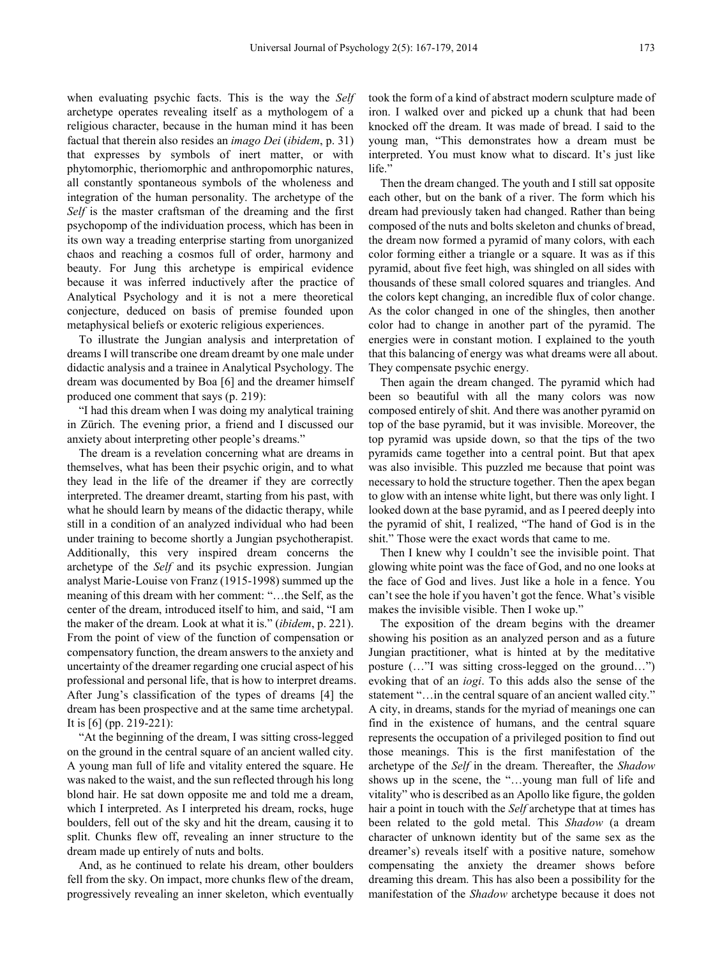when evaluating psychic facts. This is the way the *Self* archetype operates revealing itself as a mythologem of a religious character, because in the human mind it has been factual that therein also resides an *imago Dei* (*ibidem*, p. 31) that expresses by symbols of inert matter, or with phytomorphic, theriomorphic and anthropomorphic natures, all constantly spontaneous symbols of the wholeness and integration of the human personality. The archetype of the *Self* is the master craftsman of the dreaming and the first psychopomp of the individuation process, which has been in its own way a treading enterprise starting from unorganized chaos and reaching a cosmos full of order, harmony and beauty. For Jung this archetype is empirical evidence because it was inferred inductively after the practice of Analytical Psychology and it is not a mere theoretical conjecture, deduced on basis of premise founded upon metaphysical beliefs or exoteric religious experiences.

To illustrate the Jungian analysis and interpretation of dreams I will transcribe one dream dreamt by one male under didactic analysis and a trainee in Analytical Psychology. The dream was documented by Boa [6] and the dreamer himself produced one comment that says (p. 219):

"I had this dream when I was doing my analytical training in Zürich. The evening prior, a friend and I discussed our anxiety about interpreting other people's dreams."

The dream is a revelation concerning what are dreams in themselves, what has been their psychic origin, and to what they lead in the life of the dreamer if they are correctly interpreted. The dreamer dreamt, starting from his past, with what he should learn by means of the didactic therapy, while still in a condition of an analyzed individual who had been under training to become shortly a Jungian psychotherapist. Additionally, this very inspired dream concerns the archetype of the *Self* and its psychic expression. Jungian analyst Marie-Louise von Franz (1915-1998) summed up the meaning of this dream with her comment: "…the Self, as the center of the dream, introduced itself to him, and said, "I am the maker of the dream. Look at what it is." (*ibidem*, p. 221). From the point of view of the function of compensation or compensatory function, the dream answers to the anxiety and uncertainty of the dreamer regarding one crucial aspect of his professional and personal life, that is how to interpret dreams. After Jung's classification of the types of dreams [4] the dream has been prospective and at the same time archetypal. It is [6] (pp. 219-221):

"At the beginning of the dream, I was sitting cross-legged on the ground in the central square of an ancient walled city. A young man full of life and vitality entered the square. He was naked to the waist, and the sun reflected through his long blond hair. He sat down opposite me and told me a dream, which I interpreted. As I interpreted his dream, rocks, huge boulders, fell out of the sky and hit the dream, causing it to split. Chunks flew off, revealing an inner structure to the dream made up entirely of nuts and bolts.

And, as he continued to relate his dream, other boulders fell from the sky. On impact, more chunks flew of the dream, progressively revealing an inner skeleton, which eventually

took the form of a kind of abstract modern sculpture made of iron. I walked over and picked up a chunk that had been knocked off the dream. It was made of bread. I said to the young man, "This demonstrates how a dream must be interpreted. You must know what to discard. It's just like life."

Then the dream changed. The youth and I still sat opposite each other, but on the bank of a river. The form which his dream had previously taken had changed. Rather than being composed of the nuts and bolts skeleton and chunks of bread, the dream now formed a pyramid of many colors, with each color forming either a triangle or a square. It was as if this pyramid, about five feet high, was shingled on all sides with thousands of these small colored squares and triangles. And the colors kept changing, an incredible flux of color change. As the color changed in one of the shingles, then another color had to change in another part of the pyramid. The energies were in constant motion. I explained to the youth that this balancing of energy was what dreams were all about. They compensate psychic energy.

Then again the dream changed. The pyramid which had been so beautiful with all the many colors was now composed entirely of shit. And there was another pyramid on top of the base pyramid, but it was invisible. Moreover, the top pyramid was upside down, so that the tips of the two pyramids came together into a central point. But that apex was also invisible. This puzzled me because that point was necessary to hold the structure together. Then the apex began to glow with an intense white light, but there was only light. I looked down at the base pyramid, and as I peered deeply into the pyramid of shit, I realized, "The hand of God is in the shit." Those were the exact words that came to me.

Then I knew why I couldn't see the invisible point. That glowing white point was the face of God, and no one looks at the face of God and lives. Just like a hole in a fence. You can't see the hole if you haven't got the fence. What's visible makes the invisible visible. Then I woke up."

The exposition of the dream begins with the dreamer showing his position as an analyzed person and as a future Jungian practitioner, what is hinted at by the meditative posture (…"I was sitting cross-legged on the ground…") evoking that of an *iogi*. To this adds also the sense of the statement "... in the central square of an ancient walled city." A city, in dreams, stands for the myriad of meanings one can find in the existence of humans, and the central square represents the occupation of a privileged position to find out those meanings. This is the first manifestation of the archetype of the *Self* in the dream. Thereafter, the *Shadow* shows up in the scene, the "…young man full of life and vitality" who is described as an Apollo like figure, the golden hair a point in touch with the *Self* archetype that at times has been related to the gold metal. This *Shadow* (a dream character of unknown identity but of the same sex as the dreamer's) reveals itself with a positive nature, somehow compensating the anxiety the dreamer shows before dreaming this dream. This has also been a possibility for the manifestation of the *Shadow* archetype because it does not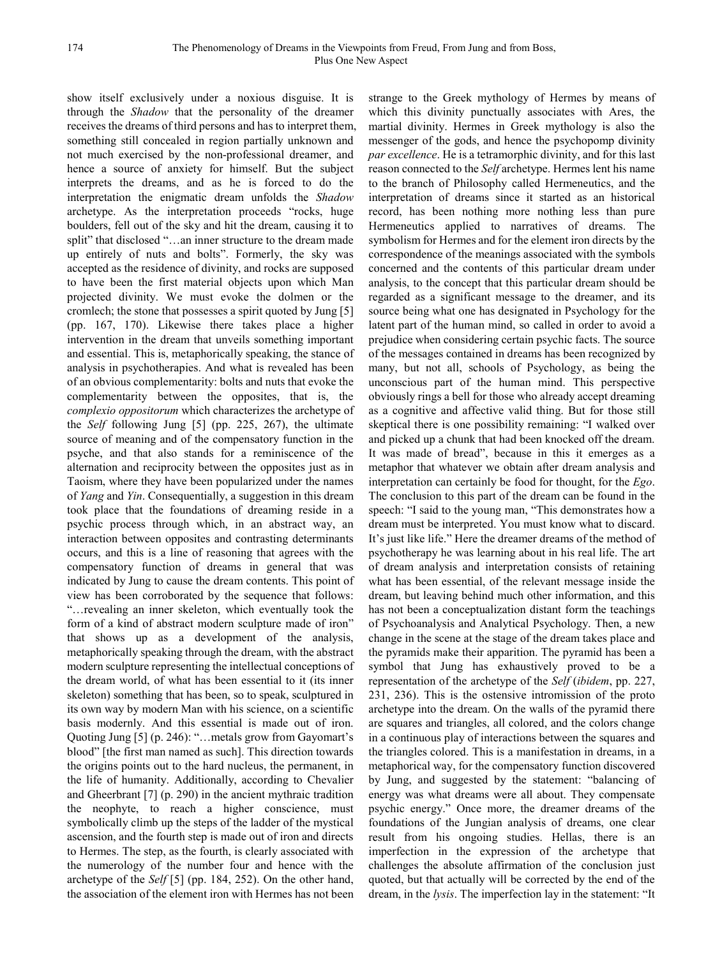show itself exclusively under a noxious disguise. It is through the *Shadow* that the personality of the dreamer receives the dreams of third persons and has to interpret them, something still concealed in region partially unknown and not much exercised by the non-professional dreamer, and hence a source of anxiety for himself. But the subject interprets the dreams, and as he is forced to do the interpretation the enigmatic dream unfolds the *Shadow* archetype. As the interpretation proceeds "rocks, huge boulders, fell out of the sky and hit the dream, causing it to split" that disclosed "…an inner structure to the dream made up entirely of nuts and bolts". Formerly, the sky was accepted as the residence of divinity, and rocks are supposed to have been the first material objects upon which Man projected divinity. We must evoke the dolmen or the cromlech; the stone that possesses a spirit quoted by Jung [5] (pp. 167, 170). Likewise there takes place a higher intervention in the dream that unveils something important and essential. This is, metaphorically speaking, the stance of analysis in psychotherapies. And what is revealed has been of an obvious complementarity: bolts and nuts that evoke the complementarity between the opposites, that is, the *complexio oppositorum* which characterizes the archetype of the *Self* following Jung [5] (pp. 225, 267), the ultimate source of meaning and of the compensatory function in the psyche, and that also stands for a reminiscence of the alternation and reciprocity between the opposites just as in Taoism, where they have been popularized under the names of *Yang* and *Yin*. Consequentially, a suggestion in this dream took place that the foundations of dreaming reside in a psychic process through which, in an abstract way, an interaction between opposites and contrasting determinants occurs, and this is a line of reasoning that agrees with the compensatory function of dreams in general that was indicated by Jung to cause the dream contents. This point of view has been corroborated by the sequence that follows: "…revealing an inner skeleton, which eventually took the form of a kind of abstract modern sculpture made of iron" that shows up as a development of the analysis, metaphorically speaking through the dream, with the abstract modern sculpture representing the intellectual conceptions of the dream world, of what has been essential to it (its inner skeleton) something that has been, so to speak, sculptured in its own way by modern Man with his science, on a scientific basis modernly. And this essential is made out of iron. Quoting Jung [5] (p. 246): "…metals grow from Gayomart's blood" [the first man named as such]. This direction towards the origins points out to the hard nucleus, the permanent, in the life of humanity. Additionally, according to Chevalier and Gheerbrant [7] (p. 290) in the ancient mythraic tradition the neophyte, to reach a higher conscience, must symbolically climb up the steps of the ladder of the mystical ascension, and the fourth step is made out of iron and directs to Hermes. The step, as the fourth, is clearly associated with the numerology of the number four and hence with the archetype of the *Self* [5] (pp. 184, 252). On the other hand, the association of the element iron with Hermes has not been

strange to the Greek mythology of Hermes by means of which this divinity punctually associates with Ares, the martial divinity. Hermes in Greek mythology is also the messenger of the gods, and hence the psychopomp divinity *par excellence*. He is a tetramorphic divinity, and for this last reason connected to the *Self* archetype. Hermes lent his name to the branch of Philosophy called Hermeneutics, and the interpretation of dreams since it started as an historical record, has been nothing more nothing less than pure Hermeneutics applied to narratives of dreams. The symbolism for Hermes and for the element iron directs by the correspondence of the meanings associated with the symbols concerned and the contents of this particular dream under analysis, to the concept that this particular dream should be regarded as a significant message to the dreamer, and its source being what one has designated in Psychology for the latent part of the human mind, so called in order to avoid a prejudice when considering certain psychic facts. The source of the messages contained in dreams has been recognized by many, but not all, schools of Psychology, as being the unconscious part of the human mind. This perspective obviously rings a bell for those who already accept dreaming as a cognitive and affective valid thing. But for those still skeptical there is one possibility remaining: "I walked over and picked up a chunk that had been knocked off the dream. It was made of bread", because in this it emerges as a metaphor that whatever we obtain after dream analysis and interpretation can certainly be food for thought, for the *Ego*. The conclusion to this part of the dream can be found in the speech: "I said to the young man, "This demonstrates how a dream must be interpreted. You must know what to discard. It's just like life." Here the dreamer dreams of the method of psychotherapy he was learning about in his real life. The art of dream analysis and interpretation consists of retaining what has been essential, of the relevant message inside the dream, but leaving behind much other information, and this has not been a conceptualization distant form the teachings of Psychoanalysis and Analytical Psychology. Then, a new change in the scene at the stage of the dream takes place and the pyramids make their apparition. The pyramid has been a symbol that Jung has exhaustively proved to be a representation of the archetype of the *Self* (*ibidem*, pp. 227, 231, 236). This is the ostensive intromission of the proto archetype into the dream. On the walls of the pyramid there are squares and triangles, all colored, and the colors change in a continuous play of interactions between the squares and the triangles colored. This is a manifestation in dreams, in a metaphorical way, for the compensatory function discovered by Jung, and suggested by the statement: "balancing of energy was what dreams were all about. They compensate psychic energy." Once more, the dreamer dreams of the foundations of the Jungian analysis of dreams, one clear result from his ongoing studies. Hellas, there is an imperfection in the expression of the archetype that challenges the absolute affirmation of the conclusion just quoted, but that actually will be corrected by the end of the dream, in the *lysis*. The imperfection lay in the statement: "It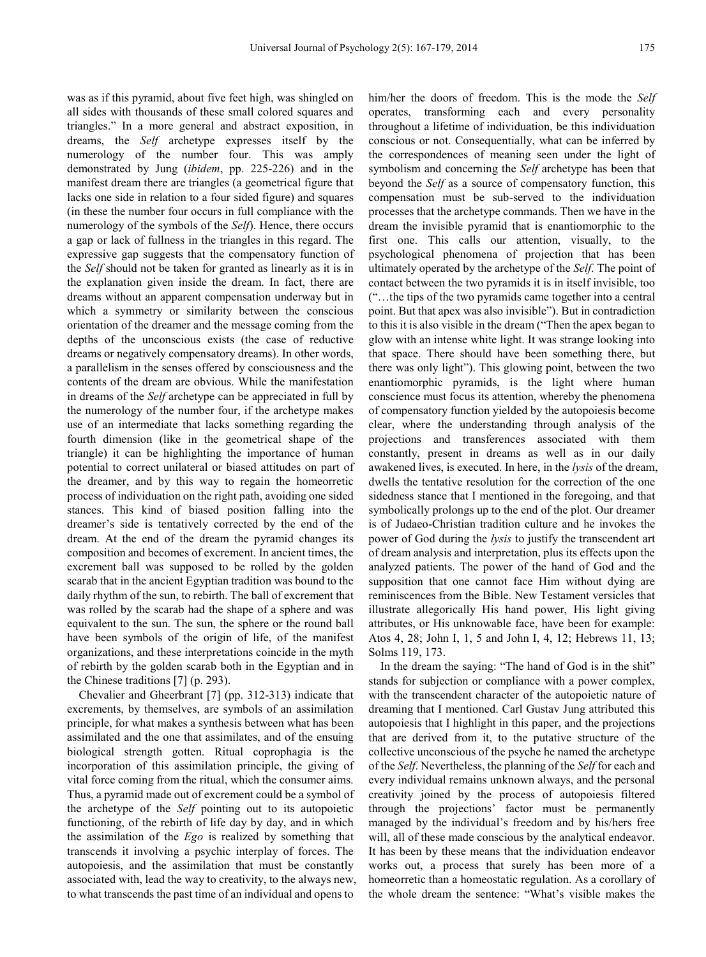was as if this pyramid, about five feet high, was shingled on all sides with thousands of these small colored squares and triangles." In a more general and abstract exposition, in dreams, the *Self* archetype expresses itself by the numerology of the number four. This was amply demonstrated by Jung (*ibidem*, pp. 225-226) and in the manifest dream there are triangles (a geometrical figure that lacks one side in relation to a four sided figure) and squares (in these the number four occurs in full compliance with the numerology of the symbols of the *Self*). Hence, there occurs a gap or lack of fullness in the triangles in this regard. The expressive gap suggests that the compensatory function of the *Self* should not be taken for granted as linearly as it is in the explanation given inside the dream. In fact, there are dreams without an apparent compensation underway but in which a symmetry or similarity between the conscious orientation of the dreamer and the message coming from the depths of the unconscious exists (the case of reductive dreams or negatively compensatory dreams). In other words, a parallelism in the senses offered by consciousness and the contents of the dream are obvious. While the manifestation in dreams of the *Self* archetype can be appreciated in full by the numerology of the number four, if the archetype makes use of an intermediate that lacks something regarding the fourth dimension (like in the geometrical shape of the triangle) it can be highlighting the importance of human potential to correct unilateral or biased attitudes on part of the dreamer, and by this way to regain the homeorretic process of individuation on the right path, avoiding one sided stances. This kind of biased position falling into the dreamer's side is tentatively corrected by the end of the dream. At the end of the dream the pyramid changes its composition and becomes of excrement. In ancient times, the excrement ball was supposed to be rolled by the golden scarab that in the ancient Egyptian tradition was bound to the daily rhythm of the sun, to rebirth. The ball of excrement that was rolled by the scarab had the shape of a sphere and was equivalent to the sun. The sun, the sphere or the round ball have been symbols of the origin of life, of the manifest organizations, and these interpretations coincide in the myth of rebirth by the golden scarab both in the Egyptian and in the Chinese traditions [7] (p. 293).

Chevalier and Gheerbrant [7] (pp. 312-313) indicate that excrements, by themselves, are symbols of an assimilation principle, for what makes a synthesis between what has been assimilated and the one that assimilates, and of the ensuing biological strength gotten. Ritual coprophagia is the incorporation of this assimilation principle, the giving of vital force coming from the ritual, which the consumer aims. Thus, a pyramid made out of excrement could be a symbol of the archetype of the *Self* pointing out to its autopoietic functioning, of the rebirth of life day by day, and in which the assimilation of the *Ego* is realized by something that transcends it involving a psychic interplay of forces. The autopoiesis, and the assimilation that must be constantly associated with, lead the way to creativity, to the always new, to what transcends the past time of an individual and opens to

him/her the doors of freedom. This is the mode the *Self* operates, transforming each and every personality throughout a lifetime of individuation, be this individuation conscious or not. Consequentially, what can be inferred by the correspondences of meaning seen under the light of symbolism and concerning the *Self* archetype has been that beyond the *Self* as a source of compensatory function, this compensation must be sub-served to the individuation processes that the archetype commands. Then we have in the dream the invisible pyramid that is enantiomorphic to the first one. This calls our attention, visually, to the psychological phenomena of projection that has been ultimately operated by the archetype of the *Self*. The point of contact between the two pyramids it is in itself invisible, too ("…the tips of the two pyramids came together into a central point. But that apex was also invisible"). But in contradiction to this it is also visible in the dream ("Then the apex began to glow with an intense white light. It was strange looking into that space. There should have been something there, but there was only light"). This glowing point, between the two enantiomorphic pyramids, is the light where human conscience must focus its attention, whereby the phenomena of compensatory function yielded by the autopoiesis become clear, where the understanding through analysis of the projections and transferences associated with them constantly, present in dreams as well as in our daily awakened lives, is executed. In here, in the *lysis* of the dream, dwells the tentative resolution for the correction of the one sidedness stance that I mentioned in the foregoing, and that symbolically prolongs up to the end of the plot. Our dreamer is of Judaeo-Christian tradition culture and he invokes the power of God during the *lysis* to justify the transcendent art of dream analysis and interpretation, plus its effects upon the analyzed patients. The power of the hand of God and the supposition that one cannot face Him without dying are reminiscences from the Bible. New Testament versicles that illustrate allegorically His hand power, His light giving attributes, or His unknowable face, have been for example: Atos 4, 28; John I, 1, 5 and John I, 4, 12; Hebrews 11, 13; Solms 119, 173.

In the dream the saying: "The hand of God is in the shit" stands for subjection or compliance with a power complex, with the transcendent character of the autopoietic nature of dreaming that I mentioned. Carl Gustav Jung attributed this autopoiesis that I highlight in this paper, and the projections that are derived from it, to the putative structure of the collective unconscious of the psyche he named the archetype of the *Self*. Nevertheless, the planning of the *Self* for each and every individual remains unknown always, and the personal creativity joined by the process of autopoiesis filtered through the projections' factor must be permanently managed by the individual's freedom and by his/hers free will, all of these made conscious by the analytical endeavor. It has been by these means that the individuation endeavor works out, a process that surely has been more of a homeorretic than a homeostatic regulation. As a corollary of the whole dream the sentence: "What's visible makes the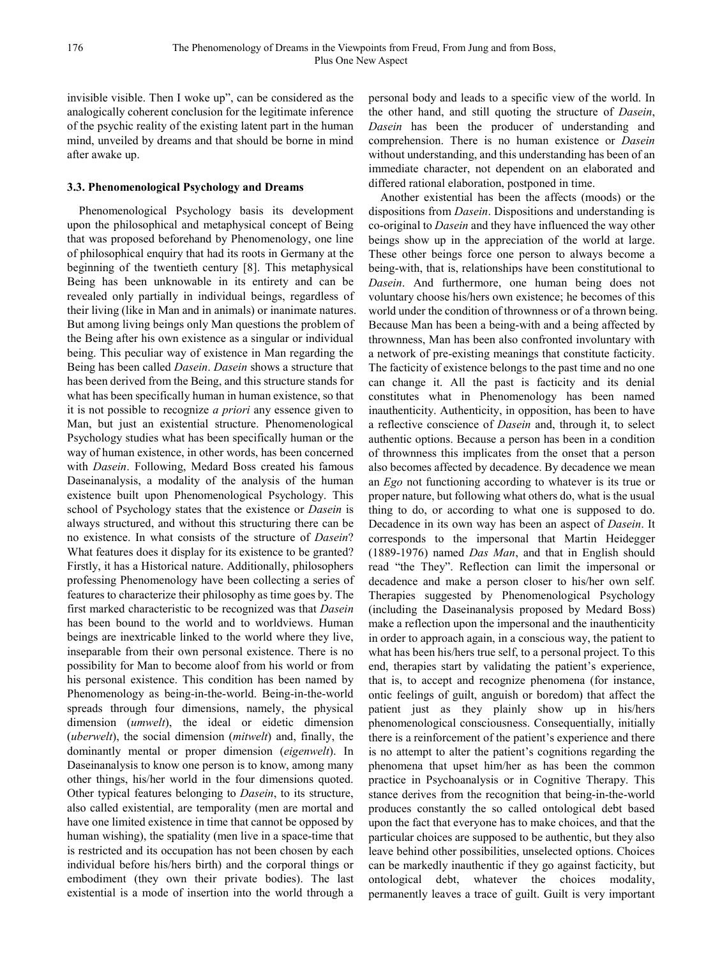invisible visible. Then I woke up", can be considered as the analogically coherent conclusion for the legitimate inference of the psychic reality of the existing latent part in the human mind, unveiled by dreams and that should be borne in mind after awake up.

#### **3.3. Phenomenological Psychology and Dreams**

Phenomenological Psychology basis its development upon the philosophical and metaphysical concept of Being that was proposed beforehand by Phenomenology, one line of philosophical enquiry that had its roots in Germany at the beginning of the twentieth century [8]. This metaphysical Being has been unknowable in its entirety and can be revealed only partially in individual beings, regardless of their living (like in Man and in animals) or inanimate natures. But among living beings only Man questions the problem of the Being after his own existence as a singular or individual being. This peculiar way of existence in Man regarding the Being has been called *Dasein*. *Dasein* shows a structure that has been derived from the Being, and this structure stands for what has been specifically human in human existence, so that it is not possible to recognize *a priori* any essence given to Man, but just an existential structure. Phenomenological Psychology studies what has been specifically human or the way of human existence, in other words, has been concerned with *Dasein*. Following, Medard Boss created his famous Daseinanalysis, a modality of the analysis of the human existence built upon Phenomenological Psychology. This school of Psychology states that the existence or *Dasein* is always structured, and without this structuring there can be no existence. In what consists of the structure of *Dasein*? What features does it display for its existence to be granted? Firstly, it has a Historical nature. Additionally, philosophers professing Phenomenology have been collecting a series of features to characterize their philosophy as time goes by. The first marked characteristic to be recognized was that *Dasein* has been bound to the world and to worldviews. Human beings are inextricable linked to the world where they live, inseparable from their own personal existence. There is no possibility for Man to become aloof from his world or from his personal existence. This condition has been named by Phenomenology as being-in-the-world. Being-in-the-world spreads through four dimensions, namely, the physical dimension (*umwelt*), the ideal or eidetic dimension (*uberwelt*), the social dimension (*mitwelt*) and, finally, the dominantly mental or proper dimension (*eigenwelt*). In Daseinanalysis to know one person is to know, among many other things, his/her world in the four dimensions quoted. Other typical features belonging to *Dasein*, to its structure, also called existential, are temporality (men are mortal and have one limited existence in time that cannot be opposed by human wishing), the spatiality (men live in a space-time that is restricted and its occupation has not been chosen by each individual before his/hers birth) and the corporal things or embodiment (they own their private bodies). The last existential is a mode of insertion into the world through a

personal body and leads to a specific view of the world. In the other hand, and still quoting the structure of *Dasein*, *Dasein* has been the producer of understanding and comprehension. There is no human existence or *Dasein* without understanding, and this understanding has been of an immediate character, not dependent on an elaborated and differed rational elaboration, postponed in time.

Another existential has been the affects (moods) or the dispositions from *Dasein*. Dispositions and understanding is co-original to *Dasein* and they have influenced the way other beings show up in the appreciation of the world at large. These other beings force one person to always become a being-with, that is, relationships have been constitutional to *Dasein*. And furthermore, one human being does not voluntary choose his/hers own existence; he becomes of this world under the condition of thrownness or of a thrown being. Because Man has been a being-with and a being affected by thrownness, Man has been also confronted involuntary with a network of pre-existing meanings that constitute facticity. The facticity of existence belongs to the past time and no one can change it. All the past is facticity and its denial constitutes what in Phenomenology has been named inauthenticity. Authenticity, in opposition, has been to have a reflective conscience of *Dasein* and, through it, to select authentic options. Because a person has been in a condition of thrownness this implicates from the onset that a person also becomes affected by decadence. By decadence we mean an *Ego* not functioning according to whatever is its true or proper nature, but following what others do, what is the usual thing to do, or according to what one is supposed to do. Decadence in its own way has been an aspect of *Dasein*. It corresponds to the impersonal that Martin Heidegger (1889-1976) named *Das Man*, and that in English should read "the They". Reflection can limit the impersonal or decadence and make a person closer to his/her own self. Therapies suggested by Phenomenological Psychology (including the Daseinanalysis proposed by Medard Boss) make a reflection upon the impersonal and the inauthenticity in order to approach again, in a conscious way, the patient to what has been his/hers true self, to a personal project. To this end, therapies start by validating the patient's experience, that is, to accept and recognize phenomena (for instance, ontic feelings of guilt, anguish or boredom) that affect the patient just as they plainly show up in his/hers phenomenological consciousness. Consequentially, initially there is a reinforcement of the patient's experience and there is no attempt to alter the patient's cognitions regarding the phenomena that upset him/her as has been the common practice in Psychoanalysis or in Cognitive Therapy. This stance derives from the recognition that being-in-the-world produces constantly the so called ontological debt based upon the fact that everyone has to make choices, and that the particular choices are supposed to be authentic, but they also leave behind other possibilities, unselected options. Choices can be markedly inauthentic if they go against facticity, but ontological debt, whatever the choices modality, permanently leaves a trace of guilt. Guilt is very important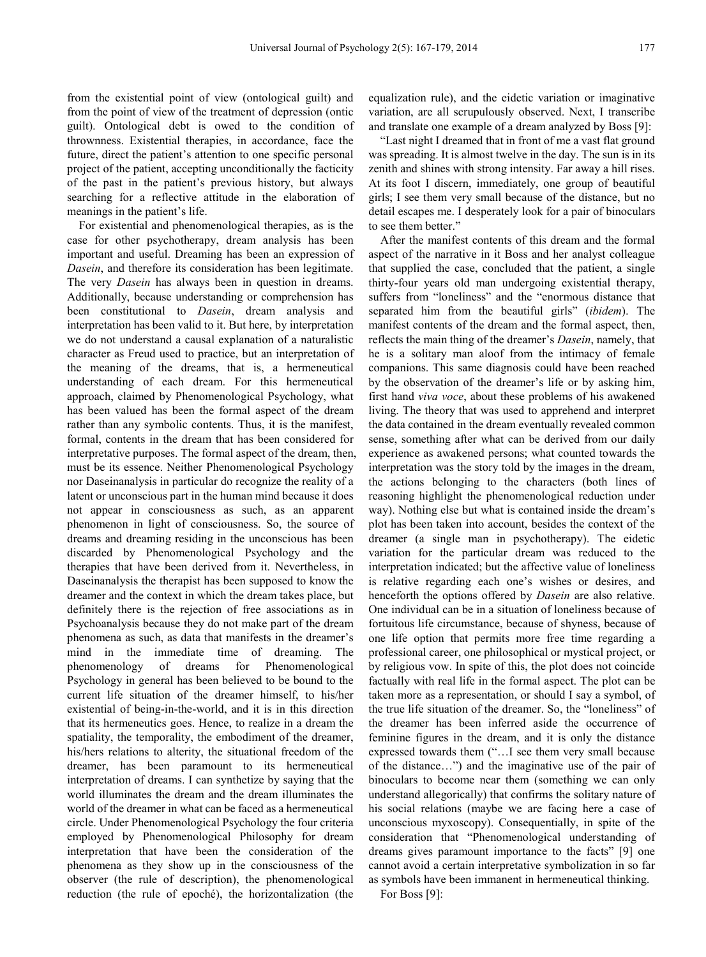from the existential point of view (ontological guilt) and from the point of view of the treatment of depression (ontic guilt). Ontological debt is owed to the condition of thrownness. Existential therapies, in accordance, face the future, direct the patient's attention to one specific personal project of the patient, accepting unconditionally the facticity of the past in the patient's previous history, but always searching for a reflective attitude in the elaboration of meanings in the patient's life.

For existential and phenomenological therapies, as is the case for other psychotherapy, dream analysis has been important and useful. Dreaming has been an expression of *Dasein*, and therefore its consideration has been legitimate. The very *Dasein* has always been in question in dreams. Additionally, because understanding or comprehension has been constitutional to *Dasein*, dream analysis and interpretation has been valid to it. But here, by interpretation we do not understand a causal explanation of a naturalistic character as Freud used to practice, but an interpretation of the meaning of the dreams, that is, a hermeneutical understanding of each dream. For this hermeneutical approach, claimed by Phenomenological Psychology, what has been valued has been the formal aspect of the dream rather than any symbolic contents. Thus, it is the manifest, formal, contents in the dream that has been considered for interpretative purposes. The formal aspect of the dream, then, must be its essence. Neither Phenomenological Psychology nor Daseinanalysis in particular do recognize the reality of a latent or unconscious part in the human mind because it does not appear in consciousness as such, as an apparent phenomenon in light of consciousness. So, the source of dreams and dreaming residing in the unconscious has been discarded by Phenomenological Psychology and the therapies that have been derived from it. Nevertheless, in Daseinanalysis the therapist has been supposed to know the dreamer and the context in which the dream takes place, but definitely there is the rejection of free associations as in Psychoanalysis because they do not make part of the dream phenomena as such, as data that manifests in the dreamer's mind in the immediate time of dreaming. The phenomenology of dreams for Phenomenological Psychology in general has been believed to be bound to the current life situation of the dreamer himself, to his/her existential of being-in-the-world, and it is in this direction that its hermeneutics goes. Hence, to realize in a dream the spatiality, the temporality, the embodiment of the dreamer, his/hers relations to alterity, the situational freedom of the dreamer, has been paramount to its hermeneutical interpretation of dreams. I can synthetize by saying that the world illuminates the dream and the dream illuminates the world of the dreamer in what can be faced as a hermeneutical circle. Under Phenomenological Psychology the four criteria employed by Phenomenological Philosophy for dream interpretation that have been the consideration of the phenomena as they show up in the consciousness of the observer (the rule of description), the phenomenological reduction (the rule of epoché), the horizontalization (the

equalization rule), and the eidetic variation or imaginative variation, are all scrupulously observed. Next, I transcribe and translate one example of a dream analyzed by Boss [9]:

"Last night I dreamed that in front of me a vast flat ground was spreading. It is almost twelve in the day. The sun is in its zenith and shines with strong intensity. Far away a hill rises. At its foot I discern, immediately, one group of beautiful girls; I see them very small because of the distance, but no detail escapes me. I desperately look for a pair of binoculars to see them better."

After the manifest contents of this dream and the formal aspect of the narrative in it Boss and her analyst colleague that supplied the case, concluded that the patient, a single thirty-four years old man undergoing existential therapy, suffers from "loneliness" and the "enormous distance that separated him from the beautiful girls" (*ibidem*). The manifest contents of the dream and the formal aspect, then, reflects the main thing of the dreamer's *Dasein*, namely, that he is a solitary man aloof from the intimacy of female companions. This same diagnosis could have been reached by the observation of the dreamer's life or by asking him, first hand *viva voce*, about these problems of his awakened living. The theory that was used to apprehend and interpret the data contained in the dream eventually revealed common sense, something after what can be derived from our daily experience as awakened persons; what counted towards the interpretation was the story told by the images in the dream, the actions belonging to the characters (both lines of reasoning highlight the phenomenological reduction under way). Nothing else but what is contained inside the dream's plot has been taken into account, besides the context of the dreamer (a single man in psychotherapy). The eidetic variation for the particular dream was reduced to the interpretation indicated; but the affective value of loneliness is relative regarding each one's wishes or desires, and henceforth the options offered by *Dasein* are also relative. One individual can be in a situation of loneliness because of fortuitous life circumstance, because of shyness, because of one life option that permits more free time regarding a professional career, one philosophical or mystical project, or by religious vow. In spite of this, the plot does not coincide factually with real life in the formal aspect. The plot can be taken more as a representation, or should I say a symbol, of the true life situation of the dreamer. So, the "loneliness" of the dreamer has been inferred aside the occurrence of feminine figures in the dream, and it is only the distance expressed towards them ("…I see them very small because of the distance…") and the imaginative use of the pair of binoculars to become near them (something we can only understand allegorically) that confirms the solitary nature of his social relations (maybe we are facing here a case of unconscious myxoscopy). Consequentially, in spite of the consideration that "Phenomenological understanding of dreams gives paramount importance to the facts" [9] one cannot avoid a certain interpretative symbolization in so far as symbols have been immanent in hermeneutical thinking.

For Boss [9]: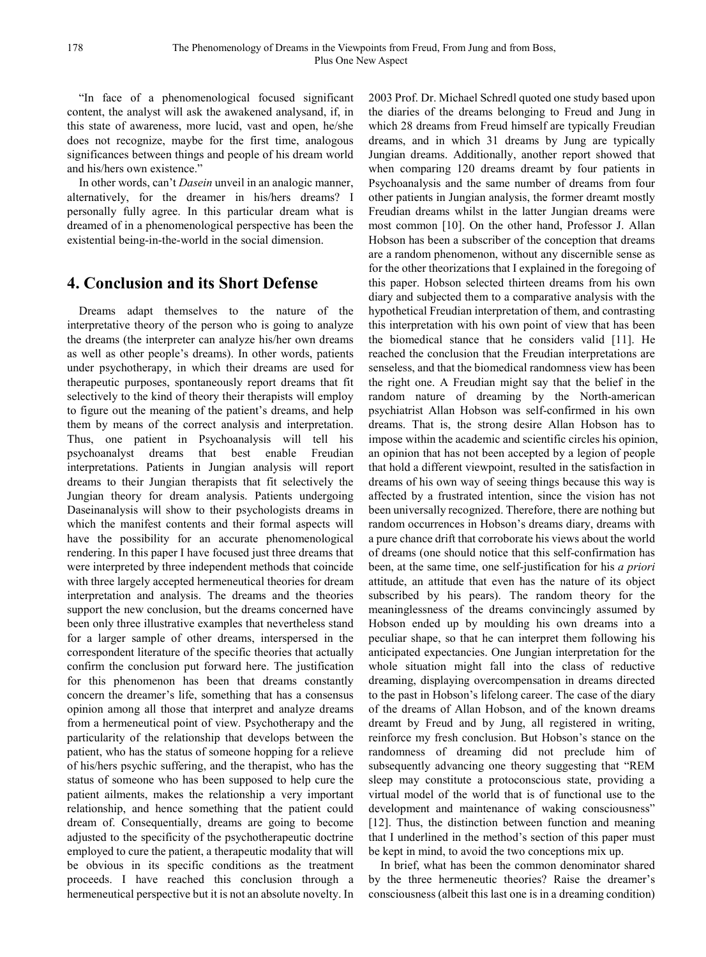"In face of a phenomenological focused significant content, the analyst will ask the awakened analysand, if, in this state of awareness, more lucid, vast and open, he/she does not recognize, maybe for the first time, analogous significances between things and people of his dream world and his/hers own existence."

In other words, can't *Dasein* unveil in an analogic manner, alternatively, for the dreamer in his/hers dreams? I personally fully agree. In this particular dream what is dreamed of in a phenomenological perspective has been the existential being-in-the-world in the social dimension.

## **4. Conclusion and its Short Defense**

Dreams adapt themselves to the nature of the interpretative theory of the person who is going to analyze the dreams (the interpreter can analyze his/her own dreams as well as other people's dreams). In other words, patients under psychotherapy, in which their dreams are used for therapeutic purposes, spontaneously report dreams that fit selectively to the kind of theory their therapists will employ to figure out the meaning of the patient's dreams, and help them by means of the correct analysis and interpretation. Thus, one patient in Psychoanalysis will tell his psychoanalyst dreams that best enable Freudian interpretations. Patients in Jungian analysis will report dreams to their Jungian therapists that fit selectively the Jungian theory for dream analysis. Patients undergoing Daseinanalysis will show to their psychologists dreams in which the manifest contents and their formal aspects will have the possibility for an accurate phenomenological rendering. In this paper I have focused just three dreams that were interpreted by three independent methods that coincide with three largely accepted hermeneutical theories for dream interpretation and analysis. The dreams and the theories support the new conclusion, but the dreams concerned have been only three illustrative examples that nevertheless stand for a larger sample of other dreams, interspersed in the correspondent literature of the specific theories that actually confirm the conclusion put forward here. The justification for this phenomenon has been that dreams constantly concern the dreamer's life, something that has a consensus opinion among all those that interpret and analyze dreams from a hermeneutical point of view. Psychotherapy and the particularity of the relationship that develops between the patient, who has the status of someone hopping for a relieve of his/hers psychic suffering, and the therapist, who has the status of someone who has been supposed to help cure the patient ailments, makes the relationship a very important relationship, and hence something that the patient could dream of. Consequentially, dreams are going to become adjusted to the specificity of the psychotherapeutic doctrine employed to cure the patient, a therapeutic modality that will be obvious in its specific conditions as the treatment proceeds. I have reached this conclusion through a hermeneutical perspective but it is not an absolute novelty. In

2003 Prof. Dr. Michael Schredl quoted one study based upon the diaries of the dreams belonging to Freud and Jung in which 28 dreams from Freud himself are typically Freudian dreams, and in which 31 dreams by Jung are typically Jungian dreams. Additionally, another report showed that when comparing 120 dreams dreamt by four patients in Psychoanalysis and the same number of dreams from four other patients in Jungian analysis, the former dreamt mostly Freudian dreams whilst in the latter Jungian dreams were most common [10]. On the other hand, Professor J. Allan Hobson has been a subscriber of the conception that dreams are a random phenomenon, without any discernible sense as for the other theorizations that I explained in the foregoing of this paper. Hobson selected thirteen dreams from his own diary and subjected them to a comparative analysis with the hypothetical Freudian interpretation of them, and contrasting this interpretation with his own point of view that has been the biomedical stance that he considers valid [11]. He reached the conclusion that the Freudian interpretations are senseless, and that the biomedical randomness view has been the right one. A Freudian might say that the belief in the random nature of dreaming by the North-american psychiatrist Allan Hobson was self-confirmed in his own dreams. That is, the strong desire Allan Hobson has to impose within the academic and scientific circles his opinion, an opinion that has not been accepted by a legion of people that hold a different viewpoint, resulted in the satisfaction in dreams of his own way of seeing things because this way is affected by a frustrated intention, since the vision has not been universally recognized. Therefore, there are nothing but random occurrences in Hobson's dreams diary, dreams with a pure chance drift that corroborate his views about the world of dreams (one should notice that this self-confirmation has been, at the same time, one self-justification for his *a priori* attitude, an attitude that even has the nature of its object subscribed by his pears). The random theory for the meaninglessness of the dreams convincingly assumed by Hobson ended up by moulding his own dreams into a peculiar shape, so that he can interpret them following his anticipated expectancies. One Jungian interpretation for the whole situation might fall into the class of reductive dreaming, displaying overcompensation in dreams directed to the past in Hobson's lifelong career. The case of the diary of the dreams of Allan Hobson, and of the known dreams dreamt by Freud and by Jung, all registered in writing, reinforce my fresh conclusion. But Hobson's stance on the randomness of dreaming did not preclude him of subsequently advancing one theory suggesting that "REM sleep may constitute a protoconscious state, providing a virtual model of the world that is of functional use to the development and maintenance of waking consciousness" [12]. Thus, the distinction between function and meaning that I underlined in the method's section of this paper must be kept in mind, to avoid the two conceptions mix up.

In brief, what has been the common denominator shared by the three hermeneutic theories? Raise the dreamer's consciousness (albeit this last one is in a dreaming condition)